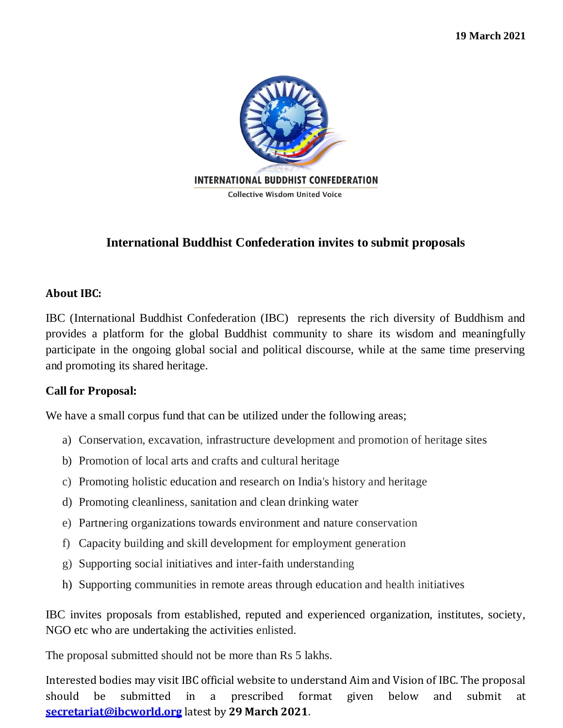

# **International Buddhist Confederation invites to submit proposals**

## **About IBC:**

IBC (International Buddhist Confederation (IBC) represents the rich diversity of Buddhism and provides a platform for the global Buddhist community to share its wisdom and meaningfully participate in the ongoing global social and political discourse, while at the same time preserving and promoting its shared heritage.

## **Call for Proposal:**

We have a small corpus fund that can be utilized under the following areas;

- a) Conservation, excavation, infrastructure development and promotion of heritage sites
- b) Promotion of local arts and crafts and cultural heritage
- c) Promoting holistic education and research on India's history and heritage
- d) Promoting cleanliness, sanitation and clean drinking water
- e) Partnering organizations towards environment and nature conservation
- f) Capacity building and skill development for employment generation
- g) Supporting social initiatives and inter-faith understanding
- h) Supporting communities in remote areas through education and health initiatives

IBC invites proposals from established, reputed and experienced organization, institutes, society, NGO etc who are undertaking the activities enlisted.

The proposal submitted should not be more than Rs 5 lakhs.

Interested bodies may visit IBC official website to understand Aim and Vision of IBC. The proposal should be submitted in a prescribed format given below and submit at **[secretariat@ibcworld.org](mailto:secretariat@ibcworld.org)** latest by **29 March 2021**.